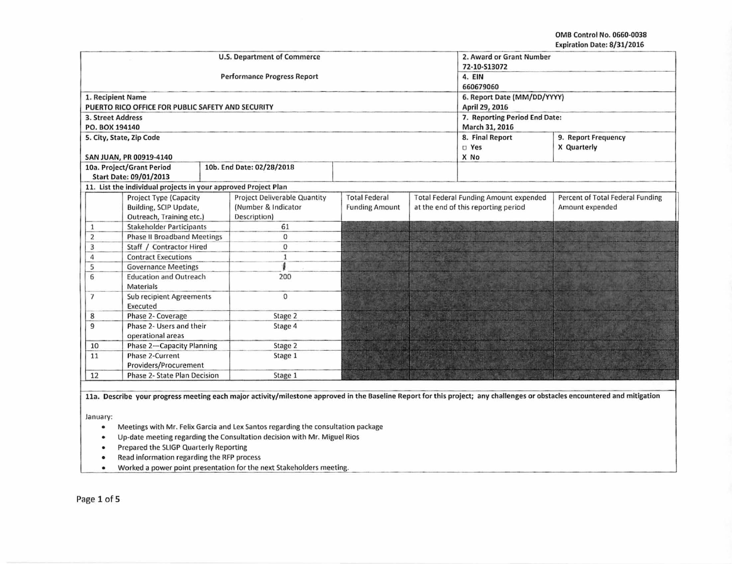OMB Control No. 0660-0038 Expiration Date: 8/31/2016

|                                                               |                                                                |              | U.S. Department of Commerce<br><b>Performance Progress Report</b> | 2. Award or Grant Number<br>72-10-S13072<br>4. EIN |                                              |                                     |                                  |  |  |
|---------------------------------------------------------------|----------------------------------------------------------------|--------------|-------------------------------------------------------------------|----------------------------------------------------|----------------------------------------------|-------------------------------------|----------------------------------|--|--|
|                                                               |                                                                |              |                                                                   | 660679060                                          |                                              |                                     |                                  |  |  |
| 1. Recipient Name                                             |                                                                |              |                                                                   |                                                    | 6. Report Date (MM/DD/YYYY)                  |                                     |                                  |  |  |
|                                                               | PUERTO RICO OFFICE FOR PUBLIC SAFETY AND SECURITY              |              |                                                                   |                                                    | April 29, 2016                               |                                     |                                  |  |  |
| <b>3. Street Address</b>                                      |                                                                |              |                                                                   |                                                    | 7. Reporting Period End Date:                |                                     |                                  |  |  |
| PO. BOX 194140                                                |                                                                |              |                                                                   |                                                    | March 31, 2016                               |                                     |                                  |  |  |
|                                                               | 5. City, State, Zip Code                                       |              |                                                                   |                                                    | 8. Final Report<br>9. Report Frequency       |                                     |                                  |  |  |
|                                                               |                                                                |              |                                                                   |                                                    |                                              | <b>D</b> Yes                        | X Quarterly                      |  |  |
|                                                               | SAN JUAN, PR 00919-4140                                        |              |                                                                   |                                                    |                                              | X No                                |                                  |  |  |
|                                                               | 10a. Project/Grant Period                                      |              | 10b. End Date: 02/28/2018                                         |                                                    |                                              |                                     |                                  |  |  |
|                                                               | Start Date: 09/01/2013                                         |              |                                                                   |                                                    |                                              |                                     |                                  |  |  |
|                                                               | 11. List the individual projects in your approved Project Plan |              |                                                                   |                                                    |                                              |                                     |                                  |  |  |
|                                                               | Project Type (Capacity                                         |              | <b>Project Deliverable Quantity</b>                               | <b>Total Federal</b>                               | <b>Total Federal Funding Amount expended</b> |                                     | Percent of Total Federal Funding |  |  |
|                                                               | Building, SCIP Update,                                         |              | (Number & Indicator                                               | <b>Funding Amount</b>                              |                                              | at the end of this reporting period | Amount expended                  |  |  |
|                                                               | Outreach, Training etc.)                                       |              | Description)                                                      |                                                    |                                              |                                     |                                  |  |  |
| 1                                                             | <b>Stakeholder Participants</b>                                |              | 61                                                                |                                                    |                                              |                                     |                                  |  |  |
| $\overline{\mathbf{2}}$                                       | <b>Phase II Broadband Meetings</b>                             |              | 0                                                                 |                                                    |                                              |                                     |                                  |  |  |
| 3                                                             | Staff / Contractor Hired                                       |              | $\Omega$                                                          |                                                    |                                              |                                     |                                  |  |  |
| 4                                                             | <b>Contract Executions</b>                                     |              | $\mathbf{1}$                                                      |                                                    |                                              |                                     |                                  |  |  |
| 5                                                             | <b>Governance Meetings</b>                                     |              |                                                                   |                                                    |                                              |                                     |                                  |  |  |
| <b>Education and Outreach</b><br>6<br><b>Materials</b>        |                                                                | 200          |                                                                   |                                                    |                                              |                                     |                                  |  |  |
| <b>Sub recipient Agreements</b><br>$\overline{7}$<br>Executed |                                                                | $\mathbf{0}$ |                                                                   |                                                    |                                              |                                     |                                  |  |  |
| 8                                                             | Phase 2- Coverage                                              |              | Stage 2                                                           |                                                    |                                              |                                     |                                  |  |  |
| Phase 2- Users and their<br>9<br>operational areas            |                                                                | Stage 4      |                                                                   |                                                    |                                              |                                     |                                  |  |  |
| Phase 2-Capacity Planning<br>10                               |                                                                | Stage 2      |                                                                   |                                                    |                                              |                                     |                                  |  |  |
| Phase 2-Current<br>11<br>Providers/Procurement                |                                                                | Stage 1      |                                                                   |                                                    |                                              |                                     |                                  |  |  |
| 12<br>Phase 2- State Plan Decision                            |                                                                |              | Stage 1                                                           |                                                    |                                              |                                     |                                  |  |  |

11a. Describe your progress meeting each major activity/milestone approved in the Baseline Report for this project; any challenges or obstacles encountered and mitigation

January:

- Meetings with Mr. Felix Garcia and Lex Santos regarding the consultation package
- Up-date meeting regarding the Consultation decision with Mr. Miguel Rios
- Prepared the SUGP Quarterly Reporting
- Read information regarding the RFP process
- Worked a power point presentation for the next Stakeholders meeting.

Page 1 of s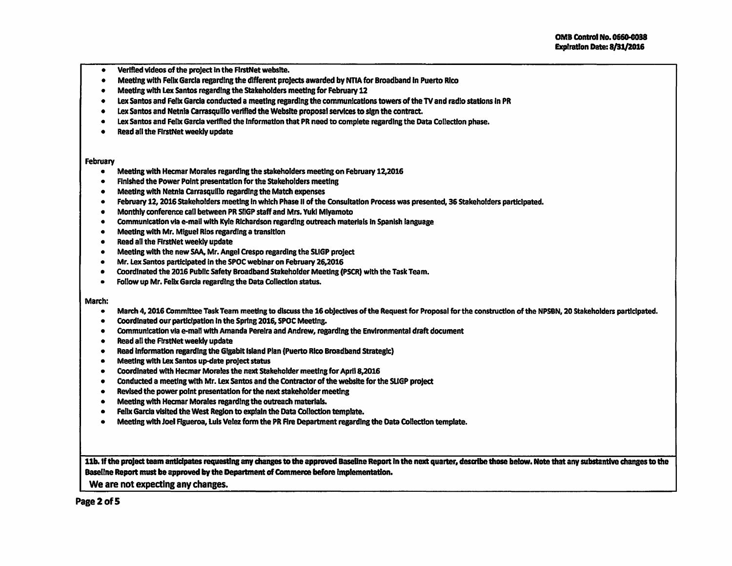- Verified videos of the project in the FlrstNet website.
- Meeting with Felix Garda regarding the different projects awarded by NTIA for Broadband In Puerto Rico
- Meeting with Lex santos regarding the Stakeholders meeting for February 12
- Lex Santos and Felix Garcia conducted a meeting regarding the communications towers of the TV and radio stations in PR
- Lex Santos and Netnla carrasquilfo verified the Website proposal services to sign the contract.
- Lex Santos and Felix Garcia verified the Information that PR need to complete regarding the Data Collection phase.
- Read all the FlrstNet weekly update

## February

- Meeting with Hecmar Morales regarding the stakeholders meeting on February 12,2016
- Finished the Power Point presentation for the stakeholders meeting
- Meeting with Netnia Carrasquillo regarding the Match expenses
- February 12, 2016 Stakeholders meeting In which Phase II of the Consultation Process was presented, 36 Stakeholders participated.
- Monthly conference call between PR SllGP staff and Mrs. Yuki Miyamoto
- Communication via e-mail with Kyle Richardson regarding outreach materials in Spanish language
- Meeting with Mr. Miguel Rios regarding a transition
- Read all the FlrstNet weekly update
- Meeting with the new SAA, Mr. Ansel Crespo regarding the SLIGP project
- Mr.Lex Santos participated in the SPOC weblnar on February 26,2016
- Coordinated the 2016 Public safety Broadband Stakeholder Meeting (PSCR) with the Task Team.
- Follow up Mr. Felix Garcia regarding the Data Collection status.

## March:

- March 4, 2016 Committee Task Team meeting to discuss the 16 objectives of the Request for Proposal for the construction of the NPSBN, 20 Stakeholders participated.
- Coordinated our partlclpation In the Spring 2016, SPOC Meeting.
- Communication via e-mail with Amanda Pereira and Andrew, regarding the Environmental draft document
- Read all the FlrstNet weekly update
- Read Information regarding the Gigabit Island Plan (Puerto Rico Broadband Strategic)
- Meeting with Lex Santos up-date project status
- Coordinated with Hecmar Morales the next Stakeholder meeting for April 8,2016
- Conducted a meeting with Mr. lex Santos and the Contractor of the website for the SUGP project
- Revised the power point presentation for the next stakeholder meeting
- Meeting with Hecmar Morales regarding the outreach materials.
- Felix Garcia visited the West Region to explain the Data Collection template.
- Meeting with Joel Figueroa, Luis Velez form the PR Fire Department regarding the Data Collection template.

11b. If the proJect team anticipates requesting any changes to the approved BaseUne Report In the next quarter, desalbe those below. Note that any substantive changes to the Baseline Report must be approved by the Department of Commerce before Implementation.

We are not expecting any changes.

Page 2 of 5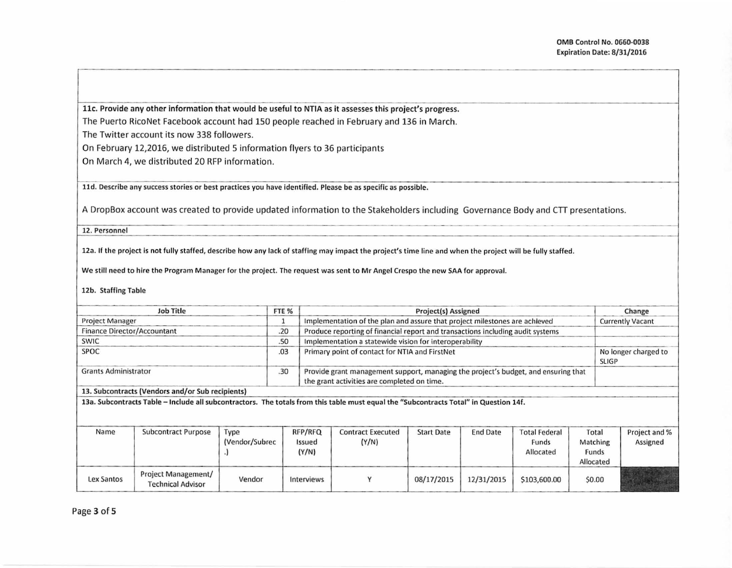llc. Provide any other information that would be useful to NTIA as it assesses this project's progress. The Puerto RicoNet Facebook account had 150 people reached in February and 136 in March.

The Twitter account its now 338 followers.

On February 12,2016, we distributed 5 information flyers to 36 participants

On March 4, we distributed 20 RFP information.

lld. Describe any success stories or best practices you have identified. Please be as specific as possible.

A DropBox account was created to provide updated information to the Stakeholders including Governance Body and CTT presentations.<br>12. Personnel

12. Personnel

12a. If the project is not fully staffed, describe how any lack of staffing may impact the project's time line and when the project will be fully staffed.

We still need to hire the Program Manager for the project. The request was sent to Mr Angel Crespo the new SAA for approval.

12b. Staffing Table

| Job Title                                        | FTE <sub>%</sub> | <b>Project(s) Assigned</b>                                                                                                            | Change                               |
|--------------------------------------------------|------------------|---------------------------------------------------------------------------------------------------------------------------------------|--------------------------------------|
| <b>Project Manager</b>                           |                  | Implementation of the plan and assure that project milestones are achieved                                                            | <b>Currently Vacant</b>              |
| Finance Director/Accountant                      | .20              | Produce reporting of financial report and transactions including audit systems                                                        |                                      |
| <b>SWIC</b>                                      | .50              | Implementation a statewide vision for interoperability                                                                                |                                      |
| <b>SPOC</b>                                      | .03              | Primary point of contact for NTIA and FirstNet                                                                                        | No longer charged to<br><b>SLIGP</b> |
| <b>Grants Administrator</b>                      | .30              | Provide grant management support, managing the project's budget, and ensuring that<br>the grant activities are completed on time.     |                                      |
| 13. Subcontracts (Vendors and/or Sub recipients) |                  |                                                                                                                                       |                                      |
|                                                  |                  | 13a. Subcontracts Table - Include all subcontractors. The totals from this table must equal the "Subcontracts Total" in Question 14f. |                                      |

| Name              | Subcontract Purpose                             | Type<br>(Vendor/Subrec | RFP/RFQ<br>Issued<br>(Y/N) | <b>Contract Executed</b><br>(Y/N) | <b>Start Date</b> | <b>End Date</b> | <b>Total Federal</b><br>Funds<br>Allocated | Total<br>Matching<br>Funds<br>Allocated | Project and %<br>Assigned |
|-------------------|-------------------------------------------------|------------------------|----------------------------|-----------------------------------|-------------------|-----------------|--------------------------------------------|-----------------------------------------|---------------------------|
| <b>Lex Santos</b> | Project Management/<br><b>Technical Advisor</b> | Vendor                 | Interviews                 |                                   | 08/17/2015        | 12/31/2015      | \$103,600.00                               | \$0.00                                  |                           |

Page 3 of 5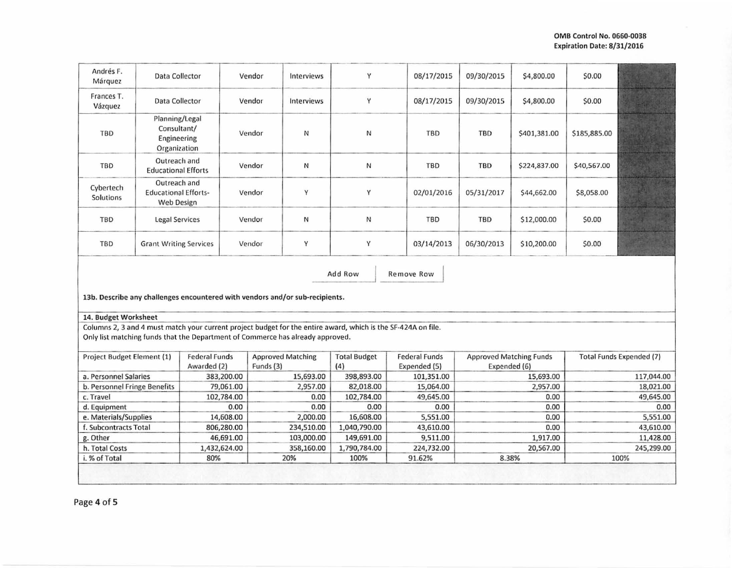| Andrés F.<br>Márquez                                                                                                                                                                            | Data Collector                                                                                               |                                     |              | Vendor                                | Interviews            | Y                          | 08/17/2015                           | 09/30/2015                                     | \$4,800.00   | \$0.00                          |           |  |
|-------------------------------------------------------------------------------------------------------------------------------------------------------------------------------------------------|--------------------------------------------------------------------------------------------------------------|-------------------------------------|--------------|---------------------------------------|-----------------------|----------------------------|--------------------------------------|------------------------------------------------|--------------|---------------------------------|-----------|--|
| Frances T.<br>Vázquez                                                                                                                                                                           | Data Collector                                                                                               |                                     |              | Vendor                                | Interviews            | Y                          | 08/17/2015                           | 09/30/2015                                     | \$4,800.00   | \$0.00                          |           |  |
| Planning/Legal<br>Consultant/<br>TBD<br>Engineering<br>Organization                                                                                                                             |                                                                                                              |                                     | Vendor       | И                                     | N                     | <b>TBD</b>                 | <b>TBD</b>                           | \$401,381.00                                   | \$185,885.00 |                                 |           |  |
| Outreach and<br>TBD<br><b>Educational Efforts</b>                                                                                                                                               |                                                                                                              |                                     | Vendor       | И                                     | N                     | <b>TBD</b>                 | <b>TBD</b>                           | \$224,837.00                                   | \$40,567.00  |                                 |           |  |
| Outreach and<br>Cybertech<br><b>Educational Efforts-</b><br>Solutions<br><b>Web Design</b>                                                                                                      |                                                                                                              |                                     | Vendor       | γ                                     | Υ                     | 02/01/2016                 | 05/31/2017                           | \$44,662.00                                    | \$8,058.00   |                                 |           |  |
| TBD<br><b>Legal Services</b>                                                                                                                                                                    |                                                                                                              |                                     | Vendor       | N                                     | И                     | <b>TBD</b>                 | <b>TBD</b>                           | \$12,000.00                                    | \$0.00       |                                 |           |  |
| TBD<br><b>Grant Writing Services</b>                                                                                                                                                            |                                                                                                              |                                     | Vendor       | Υ                                     | Υ                     | 03/14/2013                 | 06/30/2013                           | \$10,200.00                                    | \$0.00       |                                 |           |  |
|                                                                                                                                                                                                 | Add Row<br><b>Remove Row</b><br>13b. Describe any challenges encountered with vendors and/or sub-recipients. |                                     |              |                                       |                       |                            |                                      |                                                |              |                                 |           |  |
| 14. Budget Worksheet                                                                                                                                                                            |                                                                                                              |                                     |              |                                       |                       |                            |                                      |                                                |              |                                 |           |  |
| Columns 2, 3 and 4 must match your current project budget for the entire award, which is the SF-424A on file.<br>Only list matching funds that the Department of Commerce has already approved. |                                                                                                              |                                     |              |                                       |                       |                            |                                      |                                                |              |                                 |           |  |
| Project Budget Element (1)                                                                                                                                                                      |                                                                                                              | <b>Federal Funds</b><br>Awarded (2) |              | <b>Approved Matching</b><br>Funds (3) |                       | <b>Total Budget</b><br>(4) | <b>Federal Funds</b><br>Expended (5) | <b>Approved Matching Funds</b><br>Expended (6) |              | <b>Total Funds Expended (7)</b> |           |  |
| a. Personnel Salaries                                                                                                                                                                           |                                                                                                              |                                     | 383,200.00   |                                       | 15,693.00             | 398,893.00                 | 101,351.00                           | 15,693.00                                      |              | 117,044.00                      |           |  |
| b. Personnel Fringe Benefits                                                                                                                                                                    |                                                                                                              |                                     | 79,061.00    |                                       | 2,957.00              | 82,018.00                  | 15,064.00                            | 2,957.00                                       |              | 18,021.00                       |           |  |
| c. Travel                                                                                                                                                                                       |                                                                                                              |                                     | 102,784.00   | 0.00                                  |                       | 102,784.00                 | 49,645.00                            | 0.00                                           |              | 49,645.00                       |           |  |
| d. Equipment                                                                                                                                                                                    |                                                                                                              |                                     | 0.00         |                                       | 0.00                  | 0.00                       | 0.00                                 | 0.00                                           |              | 0.00                            |           |  |
| e. Materials/Supplies                                                                                                                                                                           |                                                                                                              |                                     | 14,608.00    |                                       | 16,608.00<br>2,000.00 |                            | 5,551.00                             | 0.00                                           |              | 5,551.00                        |           |  |
| f. Subcontracts Total                                                                                                                                                                           |                                                                                                              |                                     | 806,280.00   |                                       | 234,510.00            | 1,040,790.00               | 43,610.00                            |                                                | 0.00         |                                 | 43,610.00 |  |
| g. Other                                                                                                                                                                                        |                                                                                                              |                                     | 46,691.00    | 103,000.00                            |                       | 149,691.00                 | 9,511.00<br>1,917.00                 |                                                | 11,428.00    |                                 |           |  |
| h. Total Costs                                                                                                                                                                                  |                                                                                                              |                                     | 1,432,624.00 | 358,160.00                            |                       | 1,790,784.00               | 224,732.00                           | 20,567.00                                      |              | 245,299.00                      |           |  |
| i. % of Total                                                                                                                                                                                   |                                                                                                              | 80%                                 |              |                                       | 20%                   | 100%                       | 91.62%                               | 8.38%                                          |              | 100%                            |           |  |
|                                                                                                                                                                                                 |                                                                                                              |                                     |              |                                       |                       |                            |                                      |                                                |              |                                 |           |  |